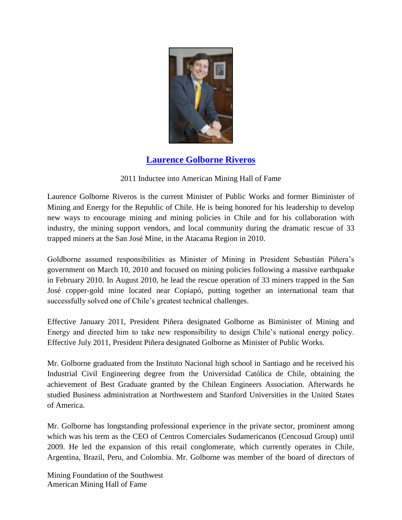

## **[Laurence Golborne Riveros](http://www.youtube.com/watch?v=IzC1gZSi44A&feature=youtu.be)**

## 2011 Inductee into American Mining Hall of Fame

Laurence Golborne Riveros is the current Minister of Public Works and former Biminister of Mining and Energy for the Republic of Chile. He is being honored for his leadership to develop new ways to encourage mining and mining policies in Chile and for his collaboration with industry, the mining support vendors, and local community during the dramatic rescue of 33 trapped miners at the San José Mine, in the Atacama Region in 2010.

Goldborne assumed responsibilities as Minister of Mining in President Sebastián Piñera's government on March 10, 2010 and focused on mining policies following a massive earthquake in February 2010. In August 2010, he lead the rescue operation of 33 miners trapped in the San José copper-gold mine located near Copiapó, putting together an international team that successfully solved one of Chile's greatest technical challenges.

Effective January 2011, President Piñera designated Golborne as Biminister of Mining and Energy and directed him to take new responsibility to design Chile's national energy policy. Effective July 2011, President Piñera designated Golborne as Minister of Public Works.

Mr. Golborne graduated from the Instituto Nacional high school in Santiago and he received his Industrial Civil Engineering degree from the Universidad Católica de Chile, obtaining the achievement of Best Graduate granted by the Chilean Engineers Association. Afterwards he studied Business administration at Northwestern and Stanford Universities in the United States of America.

Mr. Golborne has longstanding professional experience in the private sector, prominent among which was his term as the CEO of Centros Comerciales Sudamericanos (Cencosud Group) until 2009. He led the expansion of this retail conglomerate, which currently operates in Chile, Argentina, Brazil, Peru, and Colombia. Mr. Golborne was member of the board of directors of

Mining Foundation of the Southwest American Mining Hall of Fame